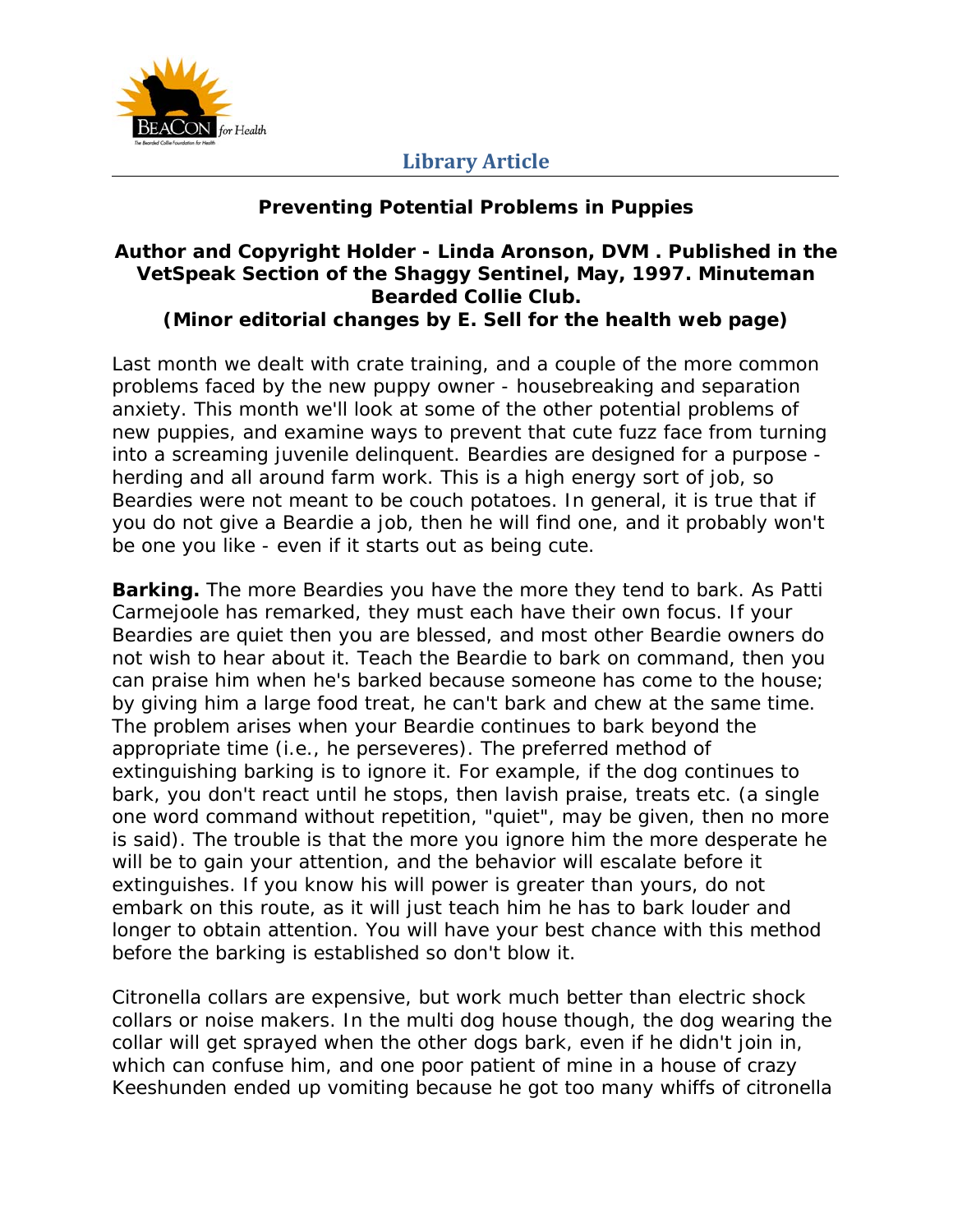

#### **Preventing Potential Problems in Puppies**

#### **Author and Copyright Holder - Linda Aronson, DVM . Published in the VetSpeak Section of the Shaggy Sentinel, May, 1997. Minuteman Bearded Collie Club. (Minor editorial changes by E. Sell for the health web page)**

Last month we dealt with crate training, and a couple of the more common problems faced by the new puppy owner - housebreaking and separation anxiety. This month we'll look at some of the other potential problems of new puppies, and examine ways to prevent that cute fuzz face from turning into a screaming juvenile delinquent. Beardies are designed for a purpose herding and all around farm work. This is a high energy sort of job, so Beardies were not meant to be couch potatoes. In general, it is true that if you do not give a Beardie a job, then he will find one, and it probably won't be one you like - even if it starts out as being cute.

**Barking.** The more Beardies you have the more they tend to bark. As Patti Carmejoole has remarked, they must each have their own focus. If your Beardies are quiet then you are blessed, and most other Beardie owners do not wish to hear about it. Teach the Beardie to bark on command, then you can praise him when he's barked because someone has come to the house; by giving him a large food treat, he can't bark and chew at the same time. The problem arises when your Beardie continues to bark beyond the appropriate time (i.e., he perseveres). The preferred method of extinguishing barking is to ignore it. For example, if the dog continues to bark, you don't react until he stops, then lavish praise, treats etc. (a single one word command without repetition, "quiet", may be given, then no more is said). The trouble is that the more you ignore him the more desperate he will be to gain your attention, and the behavior will escalate before it extinguishes. If you know his will power is greater than yours, do not embark on this route, as it will just teach him he has to bark louder and longer to obtain attention. You will have your best chance with this method before the barking is established so don't blow it.

Citronella collars are expensive, but work much better than electric shock collars or noise makers. In the multi dog house though, the dog wearing the collar will get sprayed when the other dogs bark, even if he didn't join in, which can confuse him, and one poor patient of mine in a house of crazy Keeshunden ended up vomiting because he got too many whiffs of citronella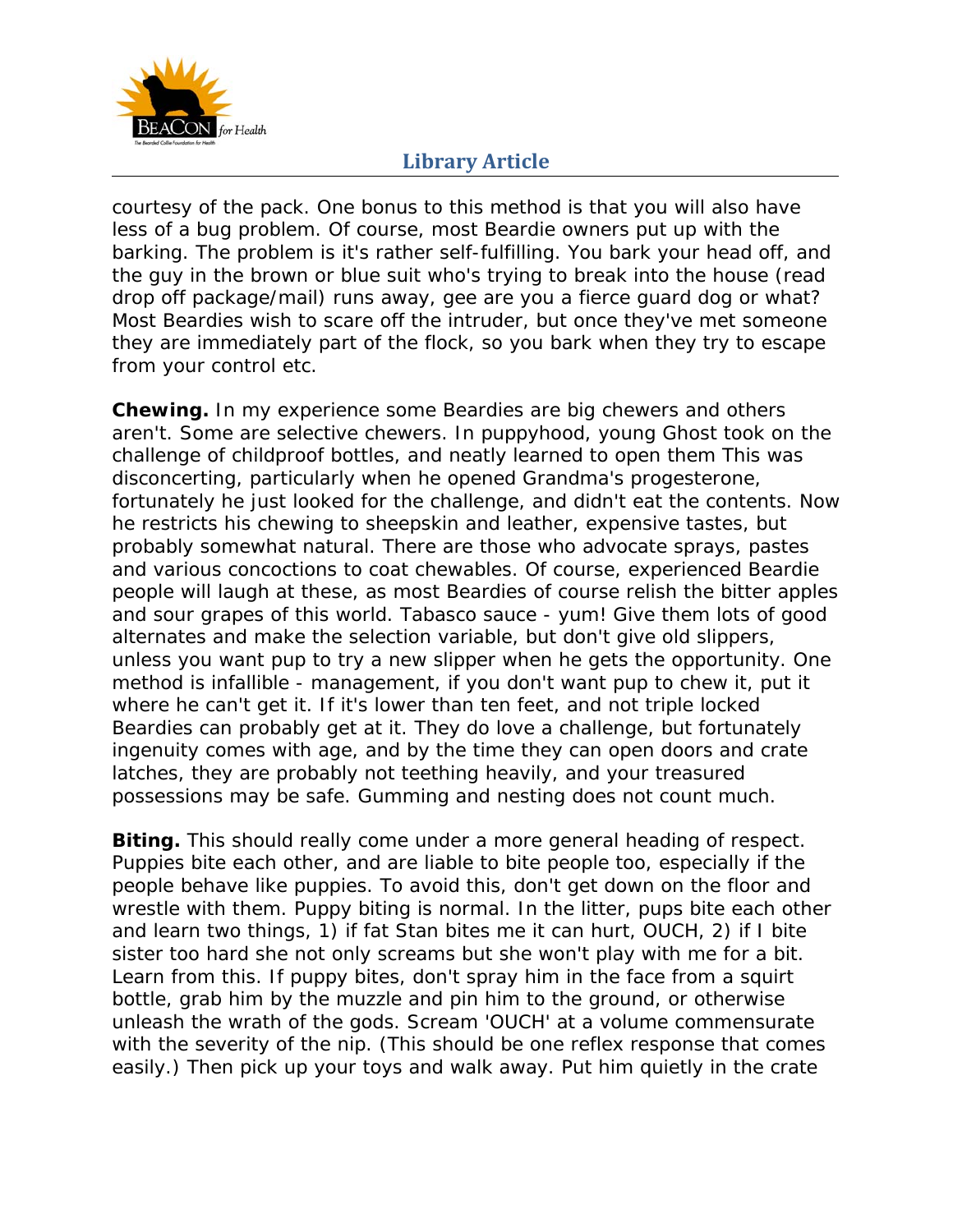

courtesy of the pack. One bonus to this method is that you will also have less of a bug problem. Of course, most Beardie owners put up with the barking. The problem is it's rather self-fulfilling. You bark your head off, and the guy in the brown or blue suit who's trying to break into the house (read drop off package/mail) runs away, gee are you a fierce guard dog or what? Most Beardies wish to scare off the intruder, but once they've met someone they are immediately part of the flock, so you bark when they try to escape from your control etc.

**Chewing.** In my experience some Beardies are big chewers and others aren't. Some are selective chewers. In puppyhood, young Ghost took on the challenge of childproof bottles, and neatly learned to open them This was disconcerting, particularly when he opened Grandma's progesterone, fortunately he just looked for the challenge, and didn't eat the contents. Now he restricts his chewing to sheepskin and leather, expensive tastes, but probably somewhat natural. There are those who advocate sprays, pastes and various concoctions to coat chewables. Of course, experienced Beardie people will laugh at these, as most Beardies of course relish the bitter apples and sour grapes of this world. Tabasco sauce - yum! Give them lots of good alternates and make the selection variable, but don't give old slippers, unless you want pup to try a new slipper when he gets the opportunity. One method is infallible - management, if you don't want pup to chew it, put it where he can't get it. If it's lower than ten feet, and not triple locked Beardies can probably get at it. They do love a challenge, but fortunately ingenuity comes with age, and by the time they can open doors and crate latches, they are probably not teething heavily, and your treasured possessions may be safe. Gumming and nesting does not count much.

**Biting.** This should really come under a more general heading of respect. Puppies bite each other, and are liable to bite people too, especially if the people behave like puppies. To avoid this, don't get down on the floor and wrestle with them. Puppy biting is normal. In the litter, pups bite each other and learn two things, 1) if fat Stan bites me it can hurt, OUCH, 2) if I bite sister too hard she not only screams but she won't play with me for a bit. Learn from this. If puppy bites, don't spray him in the face from a squirt bottle, grab him by the muzzle and pin him to the ground, or otherwise unleash the wrath of the gods. Scream 'OUCH' at a volume commensurate with the severity of the nip. (This should be one reflex response that comes easily.) Then pick up your toys and walk away. Put him quietly in the crate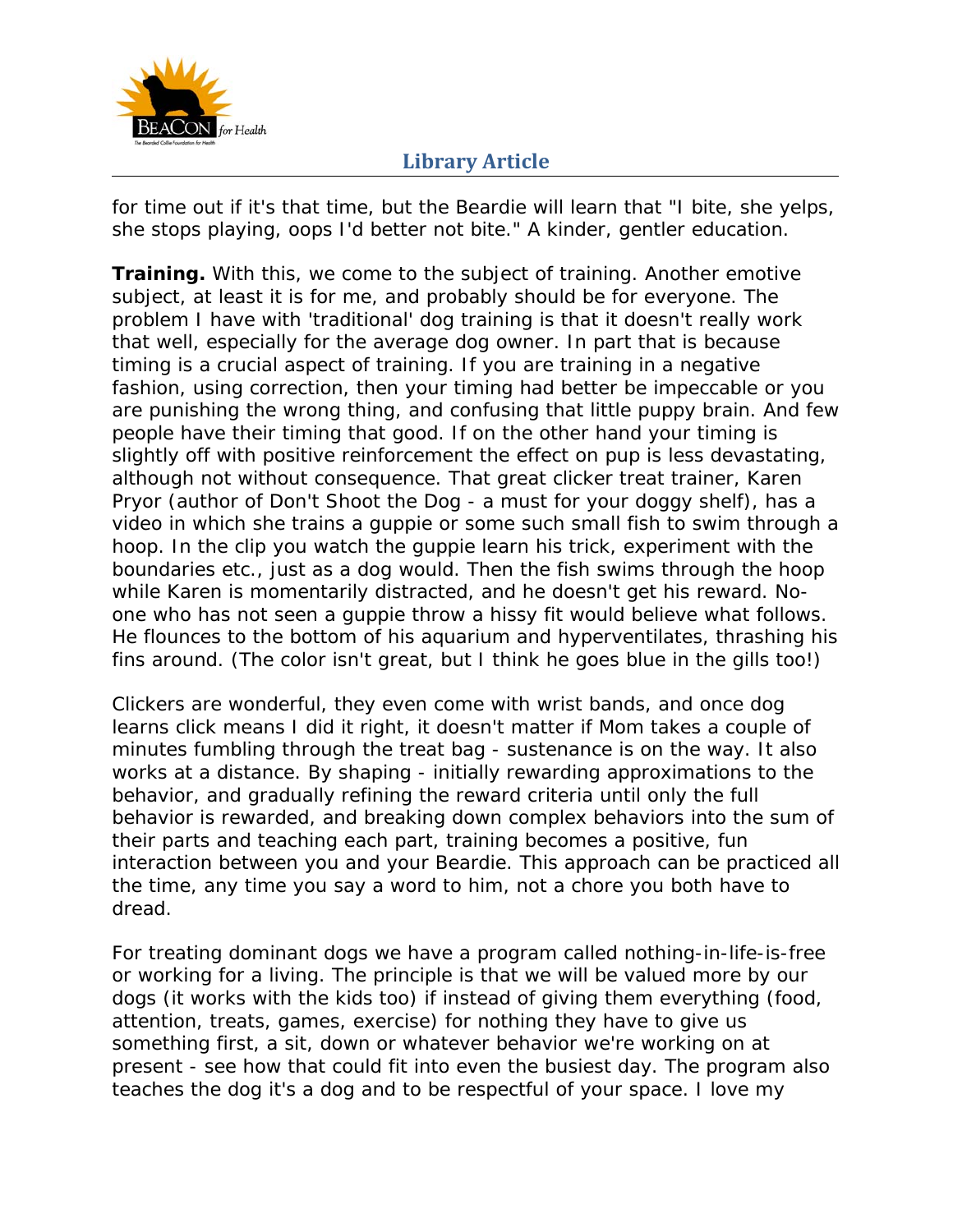

for time out if it's that time, but the Beardie will learn that "I bite, she yelps, she stops playing, oops I'd better not bite." A kinder, gentler education.

**Training.** With this, we come to the subject of training. Another emotive subject, at least it is for me, and probably should be for everyone. The problem I have with 'traditional' dog training is that it doesn't really work that well, especially for the average dog owner. In part that is because timing is a crucial aspect of training. If you are training in a negative fashion, using correction, then your timing had better be impeccable or you are punishing the wrong thing, and confusing that little puppy brain. And few people have their timing that good. If on the other hand your timing is slightly off with positive reinforcement the effect on pup is less devastating, although not without consequence. That great clicker treat trainer, Karen Pryor (author of Don't Shoot the Dog - a must for your doggy shelf), has a video in which she trains a guppie or some such small fish to swim through a hoop. In the clip you watch the guppie learn his trick, experiment with the boundaries etc., just as a dog would. Then the fish swims through the hoop while Karen is momentarily distracted, and he doesn't get his reward. Noone who has not seen a guppie throw a hissy fit would believe what follows. He flounces to the bottom of his aquarium and hyperventilates, thrashing his fins around. (The color isn't great, but I think he goes blue in the gills too!)

Clickers are wonderful, they even come with wrist bands, and once dog learns click means I did it right, it doesn't matter if Mom takes a couple of minutes fumbling through the treat bag - sustenance is on the way. It also works at a distance. By shaping - initially rewarding approximations to the behavior, and gradually refining the reward criteria until only the full behavior is rewarded, and breaking down complex behaviors into the sum of their parts and teaching each part, training becomes a positive, fun interaction between you and your Beardie. This approach can be practiced all the time, any time you say a word to him, not a chore you both have to dread.

For treating dominant dogs we have a program called nothing-in-life-is-free or working for a living. The principle is that we will be valued more by our dogs (it works with the kids too) if instead of giving them everything (food, attention, treats, games, exercise) for nothing they have to give us something first, a sit, down or whatever behavior we're working on at present - see how that could fit into even the busiest day. The program also teaches the dog it's a dog and to be respectful of your space. I love my